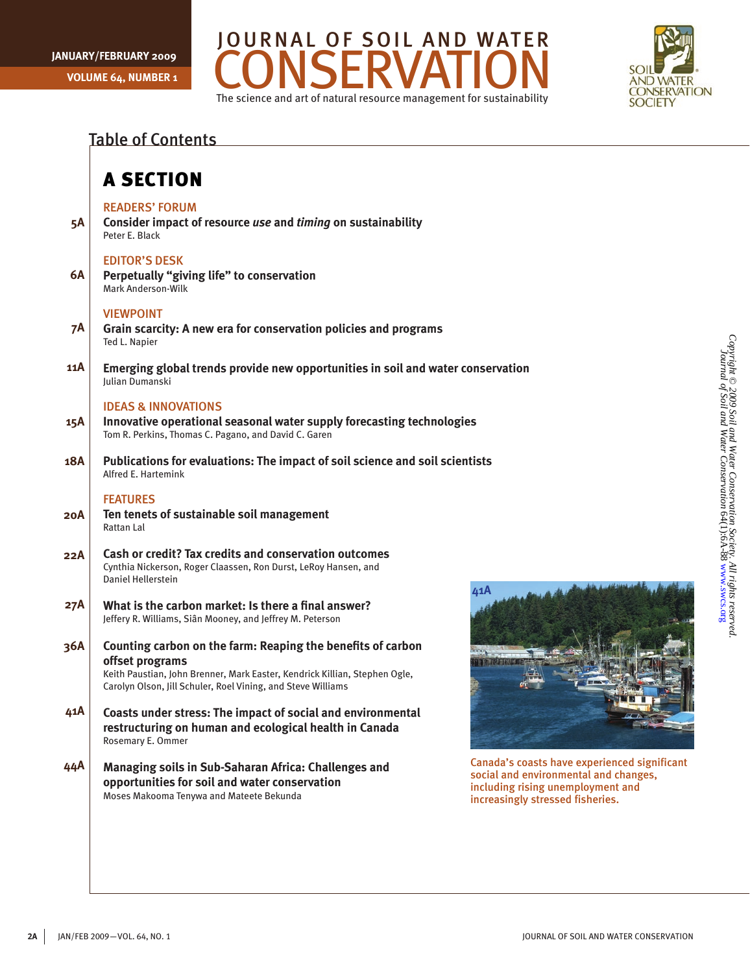



|     | <b>Table of Contents</b>                                                                                                                                                                                                     |                                                                |
|-----|------------------------------------------------------------------------------------------------------------------------------------------------------------------------------------------------------------------------------|----------------------------------------------------------------|
|     | <b>A SECTION</b>                                                                                                                                                                                                             |                                                                |
| 5A  | <b>READERS' FORUM</b><br>Consider impact of resource use and timing on sustainability<br>Peter E. Black                                                                                                                      |                                                                |
| 6A  | <b>EDITOR'S DESK</b><br>Perpetually "giving life" to conservation<br>Mark Anderson-Wilk                                                                                                                                      |                                                                |
| 7A  | <b>VIEWPOINT</b><br>Grain scarcity: A new era for conservation policies and programs<br>Ted L. Napier                                                                                                                        |                                                                |
| 11A | Emerging global trends provide new opportunities in soil and water conservation<br><b>Iulian Dumanski</b>                                                                                                                    |                                                                |
| 15A | <b>IDEAS &amp; INNOVATIONS</b><br>Innovative operational seasonal water supply forecasting technologies<br>Tom R. Perkins, Thomas C. Pagano, and David C. Garen                                                              |                                                                |
| 18A | Publications for evaluations: The impact of soil science and soil scientists<br>Alfred E. Hartemink                                                                                                                          |                                                                |
| 20A | <b>FEATURES</b><br>Ten tenets of sustainable soil management<br>Rattan Lal                                                                                                                                                   |                                                                |
| 22A | <b>Cash or credit? Tax credits and conservation outcomes</b><br>Cynthia Nickerson, Roger Claassen, Ron Durst, LeRoy Hansen, and<br>Daniel Hellerstein                                                                        | 41A                                                            |
| 27A | What is the carbon market: Is there a final answer?<br>Jeffery R. Williams, Siân Mooney, and Jeffrey M. Peterson                                                                                                             |                                                                |
| 36A | Counting carbon on the farm: Reaping the benefits of carbon<br>offset programs<br>Keith Paustian, John Brenner, Mark Easter, Kendrick Killian, Stephen Ogle,<br>Carolyn Olson, Jill Schuler, Roel Vining, and Steve Williams | œζ                                                             |
| 41A | Coasts under stress: The impact of social and environmental<br>restructuring on human and ecological health in Canada<br>Rosemary E. Ommer                                                                                   |                                                                |
| 44A | Managing soils in Sub-Saharan Africa: Challenges and<br>opportunities for soil and water conservation<br>Moses Makooma Tenywa and Mateete Bekunda                                                                            | Canada's coa<br>social and el<br>including ris<br>increasingly |
|     |                                                                                                                                                                                                                              |                                                                |



da's coasts have experienced significant I and environmental and changes, ding rising unemployment and asingly stressed fisheries.